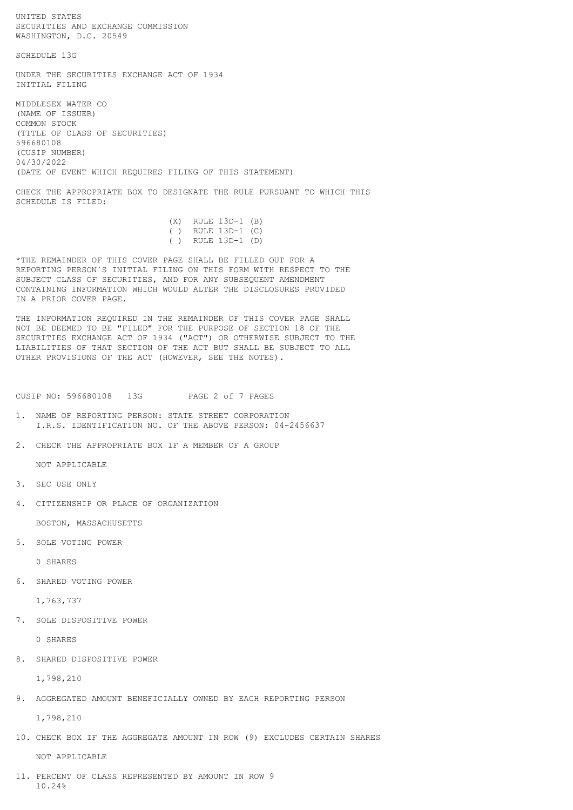SECURITIES AND EXCHANGE COMMISSION WASHINGTON, D.C. 20549 SCHEDULE 13G UNDER THE SECURITIES EXCHANGE ACT OF 1934 INITIAL FILING MIDDLESEX WATER CO (NAME OF ISSUER) COMMON STOCK (TITLE OF CLASS OF SECURITIES) 596680108 (CUSIP NUMBER) 04/30/2022 (DATE OF EVENT WHICH REQUIRES FILING OF THIS STATEMENT) CHECK THE APPROPRIATE BOX TO DESIGNATE THE RULE PURSUANT TO WHICH THIS SCHEDULE IS FILED: (X) RULE 13D-1 (B) ( ) RULE 13D-1 (C) ( ) RULE 13D-1 (D) \*THE REMAINDER OF THIS COVER PAGE SHALL BE FILLED OUT FOR A REPORTING PERSON`S INITIAL FILING ON THIS FORM WITH RESPECT TO THE SUBJECT CLASS OF SECURITIES, AND FOR ANY SUBSEQUENT AMENDMENT CONTAINING INFORMATION WHICH WOULD ALTER THE DISCLOSURES PROVIDED IN A PRIOR COVER PAGE. THE INFORMATION REQUIRED IN THE REMAINDER OF THIS COVER PAGE SHALL NOT BE DEEMED TO BE "FILED" FOR THE PURPOSE OF SECTION 18 OF THE

SECURITIES EXCHANGE ACT OF 1934 ("ACT") OR OTHERWISE SUBJECT TO THE LIABILITIES OF THAT SECTION OF THE ACT BUT SHALL BE SUBJECT TO ALL OTHER PROVISIONS OF THE ACT (HOWEVER, SEE THE NOTES).

CUSIP NO: 596680108 13G PAGE 2 of 7 PAGES

- 1. NAME OF REPORTING PERSON: STATE STREET CORPORATION I.R.S. IDENTIFICATION NO. OF THE ABOVE PERSON: 04-2456637
- 2. CHECK THE APPROPRIATE BOX IF A MEMBER OF A GROUP

NOT APPLICABLE

3. SEC USE ONLY

UNITED STATES

4. CITIZENSHIP OR PLACE OF ORGANIZATION

BOSTON, MASSACHUSETTS

5. SOLE VOTING POWER

0 SHARES

6. SHARED VOTING POWER

1,763,737

7. SOLE DISPOSITIVE POWER

0 SHARES

8. SHARED DISPOSITIVE POWER

1,798,210

9. AGGREGATED AMOUNT BENEFICIALLY OWNED BY EACH REPORTING PERSON

1,798,210

10. CHECK BOX IF THE AGGREGATE AMOUNT IN ROW (9) EXCLUDES CERTAIN SHARES

NOT APPLICABLE

11. PERCENT OF CLASS REPRESENTED BY AMOUNT IN ROW 9 10.24%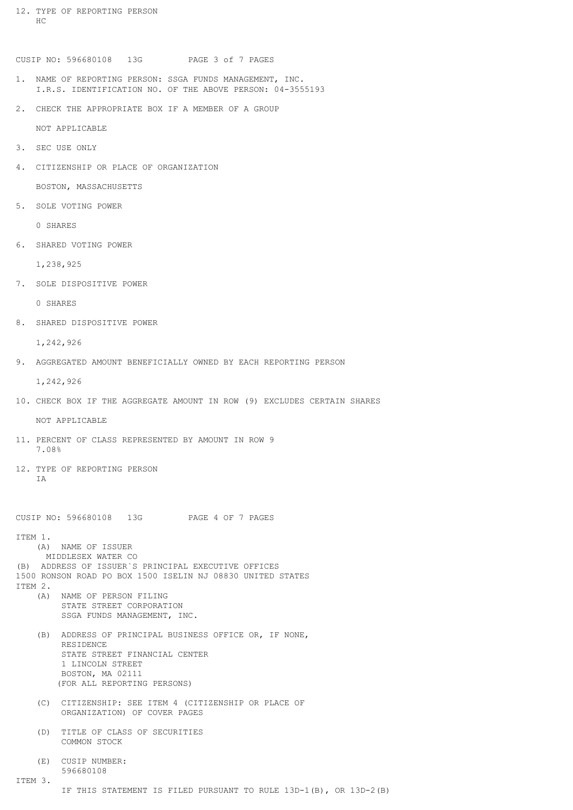12. TYPE OF REPORTING PERSON HC

CUSIP NO: 596680108 13G PAGE 3 of 7 PAGES

- 1. NAME OF REPORTING PERSON: SSGA FUNDS MANAGEMENT, INC. I.R.S. IDENTIFICATION NO. OF THE ABOVE PERSON: 04-3555193
- 2. CHECK THE APPROPRIATE BOX IF A MEMBER OF A GROUP

NOT APPLICABLE

- 3. SEC USE ONLY
- 4. CITIZENSHIP OR PLACE OF ORGANIZATION

BOSTON, MASSACHUSETTS

5. SOLE VOTING POWER

0 SHARES

6. SHARED VOTING POWER

1,238,925

7. SOLE DISPOSITIVE POWER

0 SHARES

8. SHARED DISPOSITIVE POWER

1,242,926

9. AGGREGATED AMOUNT BENEFICIALLY OWNED BY EACH REPORTING PERSON

1,242,926

10. CHECK BOX IF THE AGGREGATE AMOUNT IN ROW (9) EXCLUDES CERTAIN SHARES

NOT APPLICABLE

- 11. PERCENT OF CLASS REPRESENTED BY AMOUNT IN ROW 9 7.08%
- 12. TYPE OF REPORTING PERSON T<sub>A</sub>

CUSIP NO: 596680108 13G PAGE 4 OF 7 PAGES

ITEM 1.

 (A) NAME OF ISSUER MIDDLESEX WATER CO (B) ADDRESS OF ISSUER`S PRINCIPAL EXECUTIVE OFFICES 1500 RONSON ROAD PO BOX 1500 ISELIN NJ 08830 UNITED STATES ITEM 2.

- (A) NAME OF PERSON FILING STATE STREET CORPORATION SSGA FUNDS MANAGEMENT, INC.
- (B) ADDRESS OF PRINCIPAL BUSINESS OFFICE OR, IF NONE, RESIDENCE STATE STREET FINANCIAL CENTER 1 LINCOLN STREET BOSTON, MA 02111 (FOR ALL REPORTING PERSONS)
- (C) CITIZENSHIP: SEE ITEM 4 (CITIZENSHIP OR PLACE OF ORGANIZATION) OF COVER PAGES
- (D) TITLE OF CLASS OF SECURITIES COMMON STOCK
- (E) CUSIP NUMBER: 596680108

ITEM 3.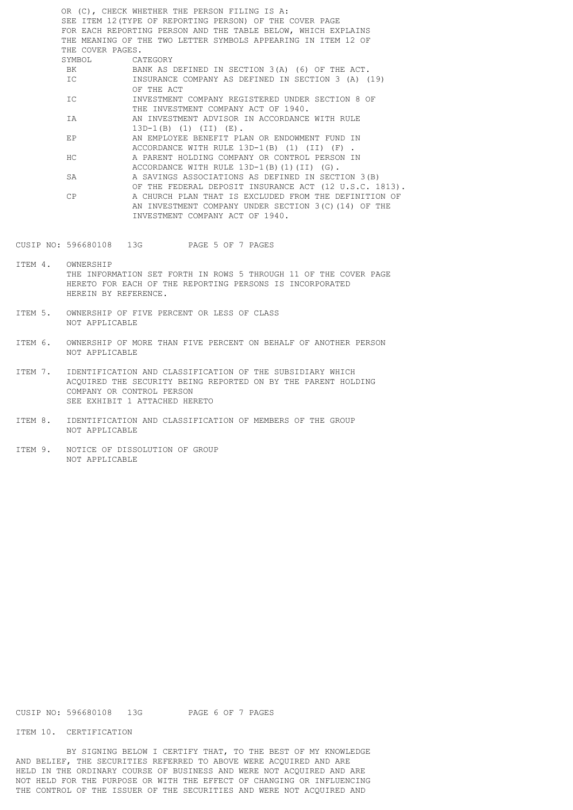OR (C), CHECK WHETHER THE PERSON FILING IS A: SEE ITEM 12(TYPE OF REPORTING PERSON) OF THE COVER PAGE FOR EACH REPORTING PERSON AND THE TABLE BELOW, WHICH EXPLAINS THE MEANING OF THE TWO LETTER SYMBOLS APPEARING IN ITEM 12 OF THE COVER PAGES.<br>SYMBOL CA CATEGORY BK BANK AS DEFINED IN SECTION 3(A) (6) OF THE ACT. IC INSURANCE COMPANY AS DEFINED IN SECTION 3 (A) (19) OF THE ACT IC INVESTMENT COMPANY REGISTERED UNDER SECTION 8 OF THE INVESTMENT COMPANY ACT OF 1940. IA AN INVESTMENT ADVISOR IN ACCORDANCE WITH RULE 13D-1(B) (1) (II) (E). EP AN EMPLOYEE BENEFIT PLAN OR ENDOWMENT FUND IN ACCORDANCE WITH RULE 13D-1(B) (1) (II) (F). HC A PARENT HOLDING COMPANY OR CONTROL PERSON IN ACCORDANCE WITH RULE 13D-1(B)(1)(II) (G). SA A SAVINGS ASSOCIATIONS AS DEFINED IN SECTION 3(B) OF THE FEDERAL DEPOSIT INSURANCE ACT (12 U.S.C. 1813). CP A CHURCH PLAN THAT IS EXCLUDED FROM THE DEFINITION OF AN INVESTMENT COMPANY UNDER SECTION 3(C)(14) OF THE INVESTMENT COMPANY ACT OF 1940.

CUSIP NO: 596680108 13G PAGE 5 OF 7 PAGES

ITEM 4. OWNERSHIP THE INFORMATION SET FORTH IN ROWS 5 THROUGH 11 OF THE COVER PAGE HERETO FOR EACH OF THE REPORTING PERSONS IS INCORPORATED HEREIN BY REFERENCE.

- ITEM 5. OWNERSHIP OF FIVE PERCENT OR LESS OF CLASS NOT APPLICABLE
- ITEM 6. OWNERSHIP OF MORE THAN FIVE PERCENT ON BEHALF OF ANOTHER PERSON NOT APPLICABLE
- ITEM 7. IDENTIFICATION AND CLASSIFICATION OF THE SUBSIDIARY WHICH ACQUIRED THE SECURITY BEING REPORTED ON BY THE PARENT HOLDING COMPANY OR CONTROL PERSON SEE EXHIBIT 1 ATTACHED HERETO
- ITEM 8. IDENTIFICATION AND CLASSIFICATION OF MEMBERS OF THE GROUP NOT APPLICABLE
- ITEM 9. NOTICE OF DISSOLUTION OF GROUP NOT APPLICABLE

CUSIP NO: 596680108 13G PAGE 6 OF 7 PAGES

## ITEM 10. CERTIFICATION

 BY SIGNING BELOW I CERTIFY THAT, TO THE BEST OF MY KNOWLEDGE AND BELIEF, THE SECURITIES REFERRED TO ABOVE WERE ACQUIRED AND ARE HELD IN THE ORDINARY COURSE OF BUSINESS AND WERE NOT ACQUIRED AND ARE NOT HELD FOR THE PURPOSE OR WITH THE EFFECT OF CHANGING OR INFLUENCING THE CONTROL OF THE ISSUER OF THE SECURITIES AND WERE NOT ACQUIRED AND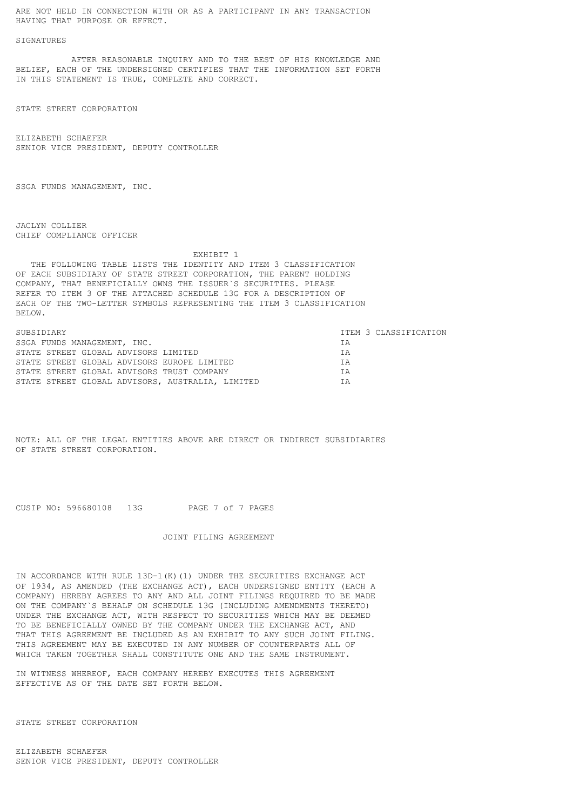ARE NOT HELD IN CONNECTION WITH OR AS A PARTICIPANT IN ANY TRANSACTION HAVING THAT PURPOSE OR EFFECT.

## **SIGNATURES**

 AFTER REASONABLE INQUIRY AND TO THE BEST OF HIS KNOWLEDGE AND BELIEF, EACH OF THE UNDERSIGNED CERTIFIES THAT THE INFORMATION SET FORTH IN THIS STATEMENT IS TRUE, COMPLETE AND CORRECT.

STATE STREET CORPORATION

ELIZABETH SCHAEFER SENIOR VICE PRESIDENT, DEPUTY CONTROLLER

SSGA FUNDS MANAGEMENT, INC.

JACLYN COLLIER CHIEF COMPLIANCE OFFICER

 EXHIBIT 1 THE FOLLOWING TABLE LISTS THE IDENTITY AND ITEM 3 CLASSIFICATION OF EACH SUBSIDIARY OF STATE STREET CORPORATION, THE PARENT HOLDING COMPANY, THAT BENEFICIALLY OWNS THE ISSUER`S SECURITIES. PLEASE REFER TO ITEM 3 OF THE ATTACHED SCHEDULE 13G FOR A DESCRIPTION OF EACH OF THE TWO-LETTER SYMBOLS REPRESENTING THE ITEM 3 CLASSIFICATION BELOW.

| SUBSIDIARY                                       | ITEM 3 CLASSIFICATION |
|--------------------------------------------------|-----------------------|
| SSGA FUNDS MANAGEMENT, INC.                      | ΙA                    |
| STATE STREET GLOBAL ADVISORS LIMITED             | <b>TA</b>             |
| STATE STREET GLOBAL ADVISORS EUROPE LIMITED      | <b>TA</b>             |
| STATE STREET GLOBAL ADVISORS TRUST COMPANY       | <b>TA</b>             |
| STATE STREET GLOBAL ADVISORS, AUSTRALIA, LIMITED | ΙA                    |

NOTE: ALL OF THE LEGAL ENTITIES ABOVE ARE DIRECT OR INDIRECT SUBSIDIARIES OF STATE STREET CORPORATION.

CUSIP NO: 596680108 13G PAGE 7 of 7 PAGES

JOINT FILING AGREEMENT

IN ACCORDANCE WITH RULE 13D-1(K)(1) UNDER THE SECURITIES EXCHANGE ACT OF 1934, AS AMENDED (THE EXCHANGE ACT), EACH UNDERSIGNED ENTITY (EACH A COMPANY) HEREBY AGREES TO ANY AND ALL JOINT FILINGS REQUIRED TO BE MADE ON THE COMPANY`S BEHALF ON SCHEDULE 13G (INCLUDING AMENDMENTS THERETO) UNDER THE EXCHANGE ACT, WITH RESPECT TO SECURITIES WHICH MAY BE DEEMED TO BE BENEFICIALLY OWNED BY THE COMPANY UNDER THE EXCHANGE ACT, AND THAT THIS AGREEMENT BE INCLUDED AS AN EXHIBIT TO ANY SUCH JOINT FILING. THIS AGREEMENT MAY BE EXECUTED IN ANY NUMBER OF COUNTERPARTS ALL OF WHICH TAKEN TOGETHER SHALL CONSTITUTE ONE AND THE SAME INSTRUMENT.

IN WITNESS WHEREOF, EACH COMPANY HEREBY EXECUTES THIS AGREEMENT EFFECTIVE AS OF THE DATE SET FORTH BELOW.

STATE STREET CORPORATION

ELIZABETH SCHAEFER SENIOR VICE PRESIDENT, DEPUTY CONTROLLER